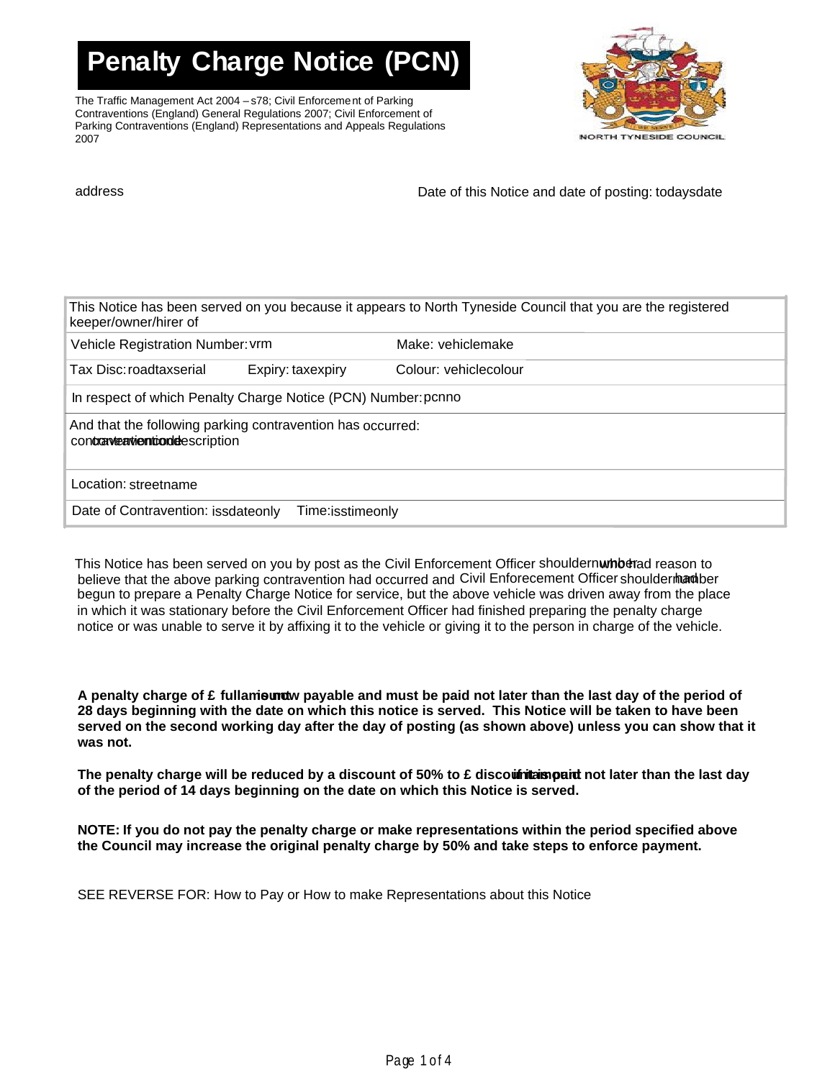**Penalty Charge Notice (PCN)**

The Traffic Management Act 2004 – s78; Civil Enforcement of Parking Contraventions (England) General Regulations 2007; Civil Enforcement of Parking Contraventions (England) Representations and Appeals Regulations 2007



address and this Notice and date of posting: todaysdate

| Vehicle Registration Number: vrm                              |                                                            | Make: vehiclemake     |
|---------------------------------------------------------------|------------------------------------------------------------|-----------------------|
| Tax Disc: roadtaxserial                                       | Expiry: taxexpiry                                          | Colour: vehiclecolour |
| In respect of which Penalty Charge Notice (PCN) Number: pcnno |                                                            |                       |
|                                                               | And that the following parking contravention has occurred: |                       |
| contraveationtiondescription                                  |                                                            |                       |

This Notice has been served on you by post as the Civil Enforcement Officer shouldernwhberad reason to believe that the above parking contravention had occurred and Civil Enforecement Officer shouldermanaber begun to prepare a Penalty Charge Notice for service, but the above vehicle was driven away from the place in which it was stationary before the Civil Enforcement Officer had finished preparing the penalty charge notice or was unable to serve it by affixing it to the vehicle or giving it to the person in charge of the vehicle.

**A** penalty charge of £ fullam**ie mot** payable and must be paid not later than the last day of the period of **28 days beginning with the date on which this notice is served. This Notice will be taken to have been served on the second working day after the day of posting (as shown above) unless you can show that it was not.** 

The penalty charge will be reduced by a discount of 50% to £ disco**untamopait n**ot later than the last day **of the period of 14 days beginning on the date on which this Notice is served.** 

**NOTE: If you do not pay the penalty charge or make representations within the period specified above the Council may increase the original penalty charge by 50% and take steps to enforce payment.** 

SEE REVERSE FOR: How to Pay or How to make Representations about this Notice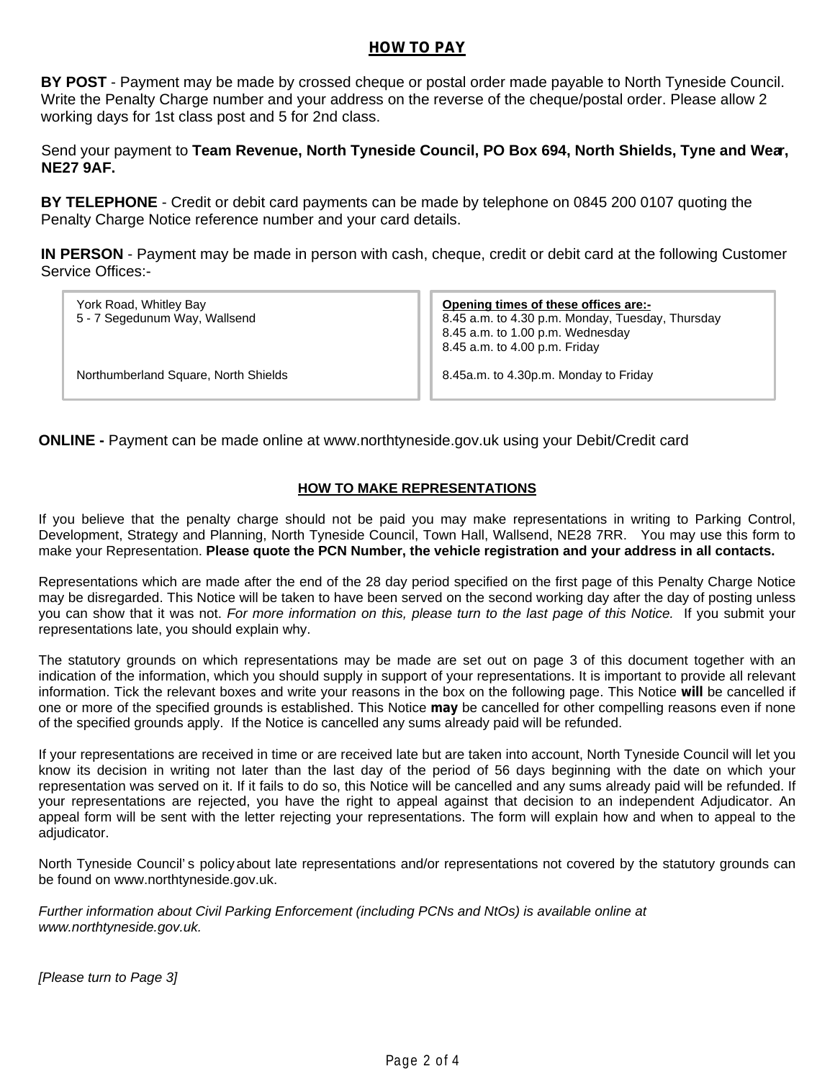## **HOW TO PAY**

**BY POST** - Payment may be made by crossed cheque or postal order made payable to North Tyneside Council. Write the Penalty Charge number and your address on the reverse of the cheque/postal order. Please allow 2 working days for 1st class post and 5 for 2nd class.

Send your payment to **Team Revenue, North Tyneside Council, PO Box 694, North Shields, Tyne and Wear, NE27 9AF.** 

**BY TELEPHONE** - Credit or debit card payments can be made by telephone on 0845 200 0107 quoting the Penalty Charge Notice reference number and your card details.

**IN PERSON** - Payment may be made in person with cash, cheque, credit or debit card at the following Customer Service Offices:-

| York Road, Whitley Bay<br>5 - 7 Segedunum Way, Wallsend | Opening times of these offices are:-<br>8.45 a.m. to 4.30 p.m. Monday, Tuesday, Thursday<br>8.45 a.m. to 1.00 p.m. Wednesday<br>8.45 a.m. to 4.00 p.m. Friday |
|---------------------------------------------------------|---------------------------------------------------------------------------------------------------------------------------------------------------------------|
| Northumberland Square, North Shields                    | 8.45a.m. to 4.30p.m. Monday to Friday                                                                                                                         |

**ONLINE -** Payment can be made online at www.northtyneside.gov.uk using your Debit/Credit card

### **HOW TO MAKE REPRESENTATIONS**

If you believe that the penalty charge should not be paid you may make representations in writing to Parking Control, Development, Strategy and Planning, North Tyneside Council, Town Hall, Wallsend, NE28 7RR. You may use this form to make your Representation. **Please quote the PCN Number, the vehicle registration and your address in all contacts.** 

Representations which are made after the end of the 28 day period specified on the first page of this Penalty Charge Notice may be disregarded. This Notice will be taken to have been served on the second working day after the day of posting unless you can show that it was not. For more information on this, please turn to the last page of this Notice. If you submit your representations late, you should explain why.

The statutory grounds on which representations may be made are set out on page 3 of this document together with an indication of the information, which you should supply in support of your representations. It is important to provide all relevant information. Tick the relevant boxes and write your reasons in the box on the following page. This Notice **will** be cancelled if one or more of the specified grounds is established. This Notice **may** be cancelled for other compelling reasons even if none of the specified grounds apply. If the Notice is cancelled any sums already paid will be refunded.

If your representations are received in time or are received late but are taken into account, North Tyneside Council will let you know its decision in writing not later than the last day of the period of 56 days beginning with the date on which your representation was served on it. If it fails to do so, this Notice will be cancelled and any sums already paid will be refunded. If your representations are rejected, you have the right to appeal against that decision to an independent Adjudicator. An appeal form will be sent with the letter rejecting your representations. The form will explain how and when to appeal to the adjudicator.

North Tyneside Council's policyabout late representations and/or representations not covered by the statutory grounds can be found on www.northtyneside.gov.uk.

Further information about Civil Parking Enforcement (including PCNs and NtOs) is available online at www.northtyneside.gov.uk.

[Please turn to Page 3]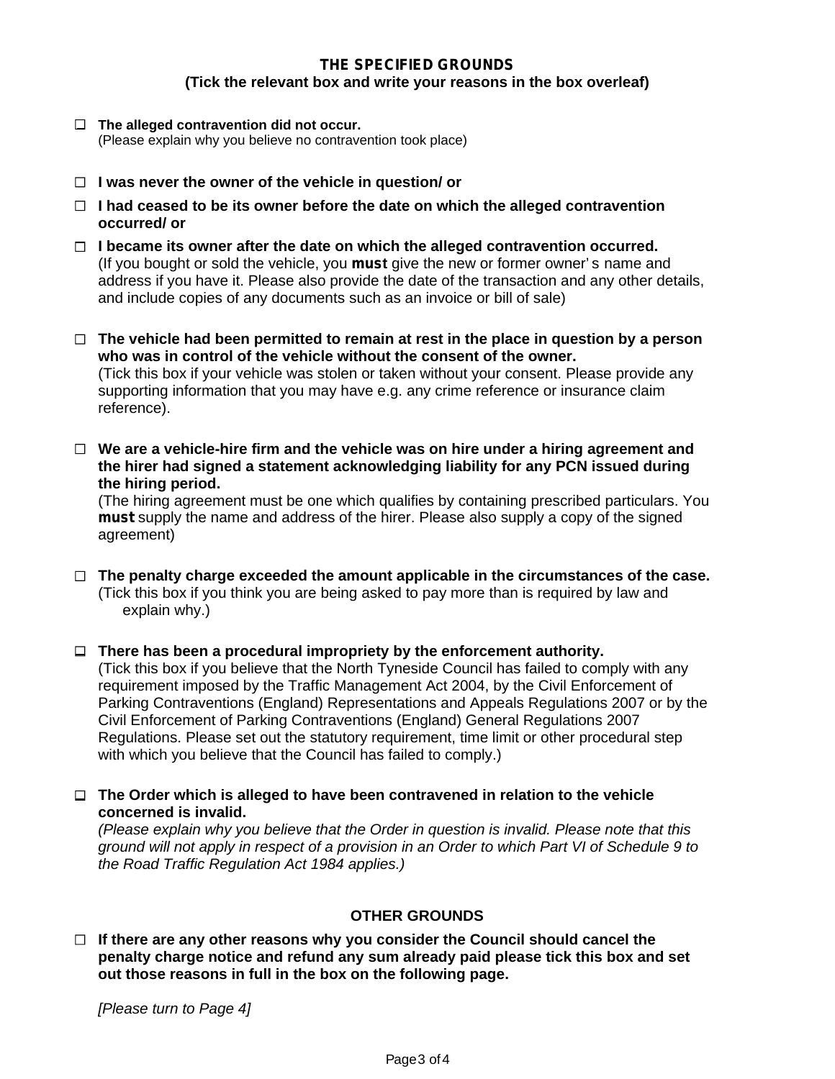# **THE SPECIFIED GROUNDS (Tick the relevant box and write your reasons in the box overleaf)**

- **The alleged contravention did not occur.**  (Please explain why you believe no contravention took place)
- **I was never the owner of the vehicle in question/ or**
- **I had ceased to be its owner before the date on which the alleged contravention occurred/ or**
- **I became its owner after the date on which the alleged contravention occurred.**  (If you bought or sold the vehicle, you **must** give the new or former owner's name and address if you have it. Please also provide the date of the transaction and any other details, and include copies of any documents such as an invoice or bill of sale)
- **The vehicle had been permitted to remain at rest in the place in question by a person who was in control of the vehicle without the consent of the owner.**  (Tick this box if your vehicle was stolen or taken without your consent. Please provide any supporting information that you may have e.g. any crime reference or insurance claim reference).
- **We are a vehicle-hire firm and the vehicle was on hire under a hiring agreement and the hirer had signed a statement acknowledging liability for any PCN issued during the hiring period.**

(The hiring agreement must be one which qualifies by containing prescribed particulars. You **must** supply the name and address of the hirer. Please also supply a copy of the signed agreement)

- **The penalty charge exceeded the amount applicable in the circumstances of the case.**  (Tick this box if you think you are being asked to pay more than is required by law and explain why.)
- **There has been a procedural impropriety by the enforcement authority.** (Tick this box if you believe that the North Tyneside Council has failed to comply with any requirement imposed by the Traffic Management Act 2004, by the Civil Enforcement of Parking Contraventions (England) Representations and Appeals Regulations 2007 or by the Civil Enforcement of Parking Contraventions (England) General Regulations 2007 Regulations. Please set out the statutory requirement, time limit or other procedural step with which you believe that the Council has failed to comply.)

**The Order which is alleged to have been contravened in relation to the vehicle concerned is invalid.** 

*(Please explain why you believe that the Order in question is invalid. Please note that this ground will not apply in respect of a provision in an Order to which Part VI of Schedule 9 to the Road Traffic Regulation Act 1984 applies.)* 

# **OTHER GROUNDS**

**If there are any other reasons why you consider the Council should cancel the penalty charge notice and refund any sum already paid please tick this box and set out those reasons in full in the box on the following page.** 

[Please turn to Page 4]